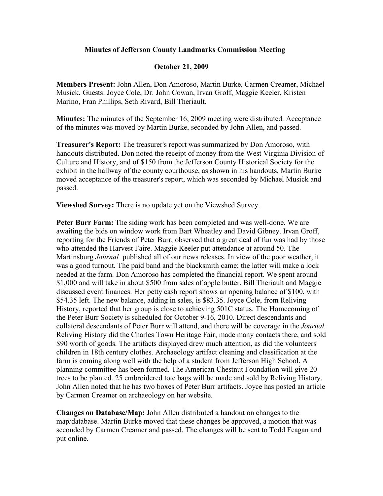## **Minutes of Jefferson County Landmarks Commission Meeting**

## **October 21, 2009**

**Members Present:** John Allen, Don Amoroso, Martin Burke, Carmen Creamer, Michael Musick. Guests: Joyce Cole, Dr. John Cowan, Irvan Groff, Maggie Keeler, Kristen Marino, Fran Phillips, Seth Rivard, Bill Theriault.

**Minutes:** The minutes of the September 16, 2009 meeting were distributed. Acceptance of the minutes was moved by Martin Burke, seconded by John Allen, and passed.

**Treasurer's Report:** The treasurer's report was summarized by Don Amoroso, with handouts distributed. Don noted the receipt of money from the West Virginia Division of Culture and History, and of \$150 from the Jefferson County Historical Society for the exhibit in the hallway of the county courthouse, as shown in his handouts. Martin Burke moved acceptance of the treasurer's report, which was seconded by Michael Musick and passed.

**Viewshed Survey:** There is no update yet on the Viewshed Survey.

**Peter Burr Farm:** The siding work has been completed and was well-done. We are awaiting the bids on window work from Bart Wheatley and David Gibney. Irvan Groff, reporting for the Friends of Peter Burr, observed that a great deal of fun was had by those who attended the Harvest Faire. Maggie Keeler put attendance at around 50. The Martinsburg *Journal* published all of our news releases. In view of the poor weather, it was a good turnout. The paid band and the blacksmith came; the latter will make a lock needed at the farm. Don Amoroso has completed the financial report. We spent around \$1,000 and will take in about \$500 from sales of apple butter. Bill Theriault and Maggie discussed event finances. Her petty cash report shows an opening balance of \$100, with \$54.35 left. The new balance, adding in sales, is \$83.35. Joyce Cole, from Reliving History, reported that her group is close to achieving 501C status. The Homecoming of the Peter Burr Society is scheduled for October 9-16, 2010. Direct descendants and collateral descendants of Peter Burr will attend, and there will be coverage in the *Journal.* Reliving History did the Charles Town Heritage Fair, made many contacts there, and sold \$90 worth of goods. The artifacts displayed drew much attention, as did the volunteers' children in 18th century clothes. Archaeology artifact cleaning and classification at the farm is coming along well with the help of a student from Jefferson High School. A planning committee has been formed. The American Chestnut Foundation will give 20 trees to be planted. 25 embroidered tote bags will be made and sold by Reliving History. John Allen noted that he has two boxes of Peter Burr artifacts. Joyce has posted an article by Carmen Creamer on archaeology on her website.

**Changes on Database/Map:** John Allen distributed a handout on changes to the map/database. Martin Burke moved that these changes be approved, a motion that was seconded by Carmen Creamer and passed. The changes will be sent to Todd Feagan and put online.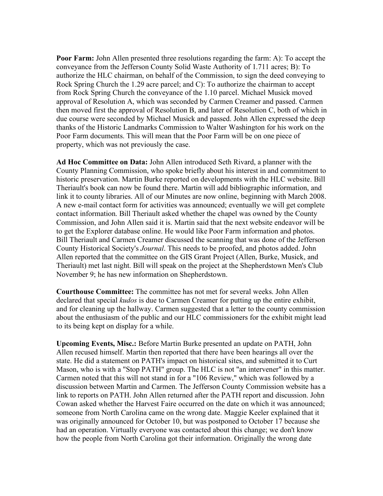**Poor Farm:** John Allen presented three resolutions regarding the farm: A): To accept the conveyance from the Jefferson County Solid Waste Authority of 1.711 acres; B): To authorize the HLC chairman, on behalf of the Commission, to sign the deed conveying to Rock Spring Church the 1.29 acre parcel; and C): To authorize the chairman to accept from Rock Spring Church the conveyance of the 1.10 parcel. Michael Musick moved approval of Resolution A, which was seconded by Carmen Creamer and passed. Carmen then moved first the approval of Resolution B, and later of Resolution C, both of which in due course were seconded by Michael Musick and passed. John Allen expressed the deep thanks of the Historic Landmarks Commission to Walter Washington for his work on the Poor Farm documents. This will mean that the Poor Farm will be on one piece of property, which was not previously the case.

**Ad Hoc Committee on Data:** John Allen introduced Seth Rivard, a planner with the County Planning Commission, who spoke briefly about his interest in and commitment to historic preservation. Martin Burke reported on developments with the HLC website. Bill Theriault's book can now be found there. Martin will add bibliographic information, and link it to county libraries. All of our Minutes are now online, beginning with March 2008. A new e-mail contact form for activities was announced; eventually we will get complete contact information. Bill Theriault asked whether the chapel was owned by the County Commission, and John Allen said it is. Martin said that the next website endeavor will be to get the Explorer database online. He would like Poor Farm information and photos. Bill Theriault and Carmen Creamer discussed the scanning that was done of the Jefferson County Historical Society's *Journal*. This needs to be proofed, and photos added. John Allen reported that the committee on the GIS Grant Project (Allen, Burke, Musick, and Theriault) met last night. Bill will speak on the project at the Shepherdstown Men's Club November 9; he has new information on Shepherdstown.

**Courthouse Committee:** The committee has not met for several weeks. John Allen declared that special *kudos* is due to Carmen Creamer for putting up the entire exhibit, and for cleaning up the hallway. Carmen suggested that a letter to the county commission about the enthusiasm of the public and our HLC commissioners for the exhibit might lead to its being kept on display for a while.

**Upcoming Events, Misc.:** Before Martin Burke presented an update on PATH, John Allen recused himself. Martin then reported that there have been hearings all over the state. He did a statement on PATH's impact on historical sites, and submitted it to Curt Mason, who is with a "Stop PATH" group. The HLC is not "an intervener" in this matter. Carmen noted that this will not stand in for a "106 Review," which was followed by a discussion between Martin and Carmen. The Jefferson County Commission website has a link to reports on PATH. John Allen returned after the PATH report and discussion. John Cowan asked whether the Harvest Faire occurred on the date on which it was announced; someone from North Carolina came on the wrong date. Maggie Keeler explained that it was originally announced for October 10, but was postponed to October 17 because she had an operation. Virtually everyone was contacted about this change; we don't know how the people from North Carolina got their information. Originally the wrong date